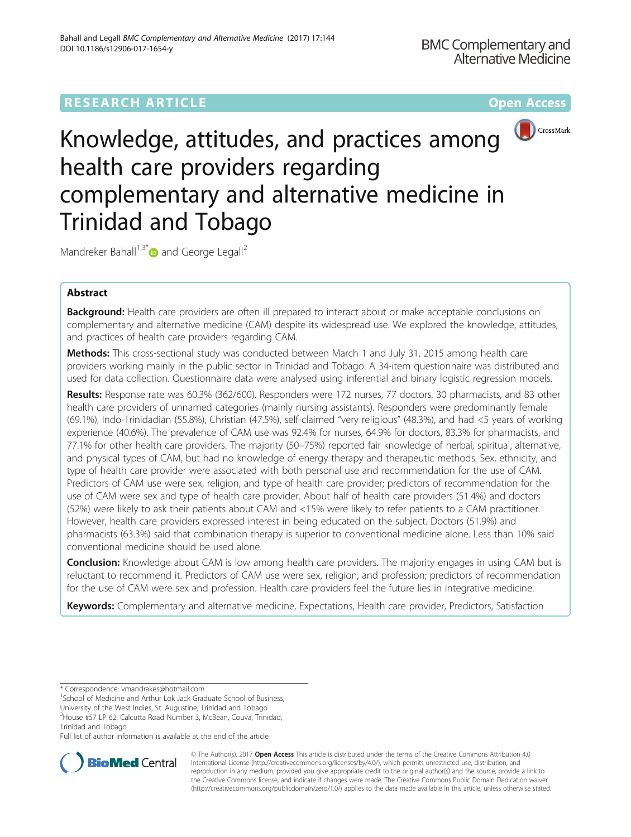# **RESEARCH ARTICLE External Structure Community Community Community Community Community Community Community Community**



# Knowledge, attitudes, and practices among health care providers regarding complementary and alternative medicine in Trinidad and Tobago

Mandreker Bahall<sup>1,3\*</sup> $\bullet$  and George Legall<sup>2</sup>

# Abstract

Background: Health care providers are often ill prepared to interact about or make acceptable conclusions on complementary and alternative medicine (CAM) despite its widespread use. We explored the knowledge, attitudes, and practices of health care providers regarding CAM.

Methods: This cross-sectional study was conducted between March 1 and July 31, 2015 among health care providers working mainly in the public sector in Trinidad and Tobago. A 34-item questionnaire was distributed and used for data collection. Questionnaire data were analysed using inferential and binary logistic regression models.

Results: Response rate was 60.3% (362/600). Responders were 172 nurses, 77 doctors, 30 pharmacists, and 83 other health care providers of unnamed categories (mainly nursing assistants). Responders were predominantly female (69.1%), Indo-Trinidadian (55.8%), Christian (47.5%), self-claimed "very religious" (48.3%), and had <5 years of working experience (40.6%). The prevalence of CAM use was 92.4% for nurses, 64.9% for doctors, 83.3% for pharmacists, and 77.1% for other health care providers. The majority (50–75%) reported fair knowledge of herbal, spiritual, alternative, and physical types of CAM, but had no knowledge of energy therapy and therapeutic methods. Sex, ethnicity, and type of health care provider were associated with both personal use and recommendation for the use of CAM. Predictors of CAM use were sex, religion, and type of health care provider; predictors of recommendation for the use of CAM were sex and type of health care provider. About half of health care providers (51.4%) and doctors (52%) were likely to ask their patients about CAM and <15% were likely to refer patients to a CAM practitioner. However, health care providers expressed interest in being educated on the subject. Doctors (51.9%) and pharmacists (63.3%) said that combination therapy is superior to conventional medicine alone. Less than 10% said conventional medicine should be used alone.

**Conclusion:** Knowledge about CAM is low among health care providers. The majority engages in using CAM but is reluctant to recommend it. Predictors of CAM use were sex, religion, and profession; predictors of recommendation for the use of CAM were sex and profession. Health care providers feel the future lies in integrative medicine.

Keywords: Complementary and alternative medicine, Expectations, Health care provider, Predictors, Satisfaction

<sup>1</sup>School of Medicine and Arthur Lok Jack Graduate School of Business,

University of the West Indies, St. Augustine, Trinidad and Tobago 3 House #57 LP 62, Calcutta Road Number 3, McBean, Couva, Trinidad,

Trinidad and Tobago

Full list of author information is available at the end of the article



© The Author(s). 2017 **Open Access** This article is distributed under the terms of the Creative Commons Attribution 4.0 International License [\(http://creativecommons.org/licenses/by/4.0/](http://creativecommons.org/licenses/by/4.0/)), which permits unrestricted use, distribution, and reproduction in any medium, provided you give appropriate credit to the original author(s) and the source, provide a link to the Creative Commons license, and indicate if changes were made. The Creative Commons Public Domain Dedication waiver [\(http://creativecommons.org/publicdomain/zero/1.0/](http://creativecommons.org/publicdomain/zero/1.0/)) applies to the data made available in this article, unless otherwise stated.

<sup>\*</sup> Correspondence: [vmandrakes@hotmail.com](mailto:vmandrakes@hotmail.com) <sup>1</sup>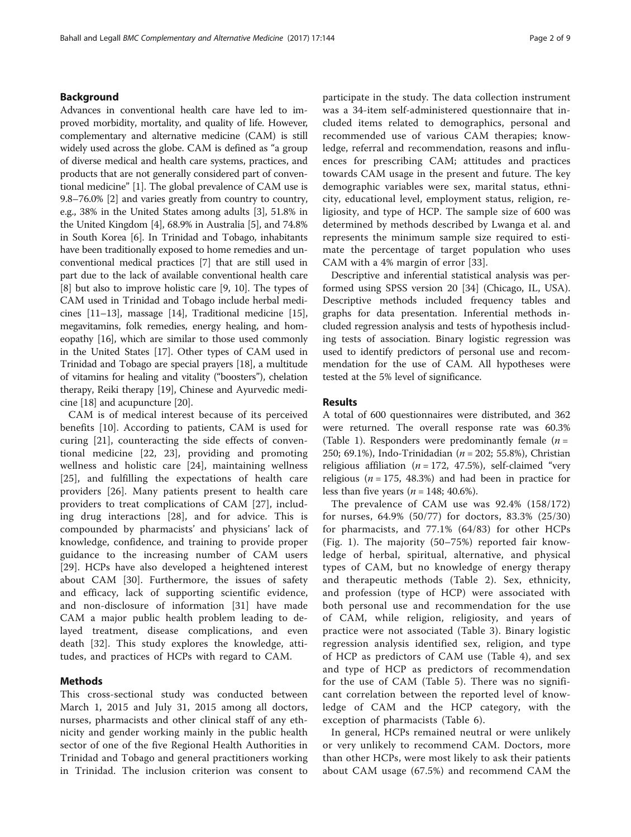## Background

Advances in conventional health care have led to improved morbidity, mortality, and quality of life. However, complementary and alternative medicine (CAM) is still widely used across the globe. CAM is defined as "a group of diverse medical and health care systems, practices, and products that are not generally considered part of conventional medicine" [\[1\]](#page-7-0). The global prevalence of CAM use is 9.8–76.0% [[2\]](#page-7-0) and varies greatly from country to country, e.g., 38% in the United States among adults [\[3](#page-7-0)], 51.8% in the United Kingdom [\[4](#page-7-0)], 68.9% in Australia [[5\]](#page-7-0), and 74.8% in South Korea [\[6](#page-7-0)]. In Trinidad and Tobago, inhabitants have been traditionally exposed to home remedies and unconventional medical practices [\[7](#page-7-0)] that are still used in part due to the lack of available conventional health care [[8\]](#page-7-0) but also to improve holistic care [[9](#page-7-0), [10\]](#page-7-0). The types of CAM used in Trinidad and Tobago include herbal medicines [\[11](#page-7-0)–[13](#page-7-0)], massage [[14](#page-7-0)], Traditional medicine [[15](#page-7-0)], megavitamins, folk remedies, energy healing, and homeopathy [\[16\]](#page-7-0), which are similar to those used commonly in the United States [\[17](#page-7-0)]. Other types of CAM used in Trinidad and Tobago are special prayers [\[18\]](#page-7-0), a multitude of vitamins for healing and vitality ("boosters"), chelation therapy, Reiki therapy [[19](#page-7-0)], Chinese and Ayurvedic medicine [[18](#page-7-0)] and acupuncture [\[20\]](#page-7-0).

CAM is of medical interest because of its perceived benefits [[10\]](#page-7-0). According to patients, CAM is used for curing [\[21](#page-7-0)], counteracting the side effects of conventional medicine [[22, 23\]](#page-7-0), providing and promoting wellness and holistic care [[24\]](#page-7-0), maintaining wellness [[25\]](#page-7-0), and fulfilling the expectations of health care providers [\[26](#page-7-0)]. Many patients present to health care providers to treat complications of CAM [\[27](#page-7-0)], including drug interactions [\[28](#page-7-0)], and for advice. This is compounded by pharmacists' and physicians' lack of knowledge, confidence, and training to provide proper guidance to the increasing number of CAM users [[29\]](#page-7-0). HCPs have also developed a heightened interest about CAM [\[30](#page-7-0)]. Furthermore, the issues of safety and efficacy, lack of supporting scientific evidence, and non-disclosure of information [[31](#page-8-0)] have made CAM a major public health problem leading to delayed treatment, disease complications, and even death [[32\]](#page-8-0). This study explores the knowledge, attitudes, and practices of HCPs with regard to CAM.

# Methods

This cross-sectional study was conducted between March 1, 2015 and July 31, 2015 among all doctors, nurses, pharmacists and other clinical staff of any ethnicity and gender working mainly in the public health sector of one of the five Regional Health Authorities in Trinidad and Tobago and general practitioners working in Trinidad. The inclusion criterion was consent to participate in the study. The data collection instrument was a 34-item self-administered questionnaire that included items related to demographics, personal and recommended use of various CAM therapies; knowledge, referral and recommendation, reasons and influences for prescribing CAM; attitudes and practices towards CAM usage in the present and future. The key demographic variables were sex, marital status, ethnicity, educational level, employment status, religion, religiosity, and type of HCP. The sample size of 600 was determined by methods described by Lwanga et al. and represents the minimum sample size required to estimate the percentage of target population who uses CAM with a 4% margin of error [\[33](#page-8-0)].

Descriptive and inferential statistical analysis was performed using SPSS version 20 [\[34](#page-8-0)] (Chicago, IL, USA). Descriptive methods included frequency tables and graphs for data presentation. Inferential methods included regression analysis and tests of hypothesis including tests of association. Binary logistic regression was used to identify predictors of personal use and recommendation for the use of CAM. All hypotheses were tested at the 5% level of significance.

#### Results

A total of 600 questionnaires were distributed, and 362 were returned. The overall response rate was 60.3% (Table [1\)](#page-2-0). Responders were predominantly female  $(n =$ 250; 69.1%), Indo-Trinidadian ( $n = 202$ ; 55.8%), Christian religious affiliation ( $n = 172, 47.5\%$ ), self-claimed "very religious ( $n = 175$ , 48.3%) and had been in practice for less than five years ( $n = 148$ ; 40.6%).

The prevalence of CAM use was 92.4% (158/172) for nurses, 64.9% (50/77) for doctors, 83.3% (25/30) for pharmacists, and 77.1% (64/83) for other HCPs (Fig. [1](#page-2-0)). The majority (50–75%) reported fair knowledge of herbal, spiritual, alternative, and physical types of CAM, but no knowledge of energy therapy and therapeutic methods (Table [2](#page-3-0)). Sex, ethnicity, and profession (type of HCP) were associated with both personal use and recommendation for the use of CAM, while religion, religiosity, and years of practice were not associated (Table [3](#page-3-0)). Binary logistic regression analysis identified sex, religion, and type of HCP as predictors of CAM use (Table [4\)](#page-3-0), and sex and type of HCP as predictors of recommendation for the use of CAM (Table [5](#page-4-0)). There was no significant correlation between the reported level of knowledge of CAM and the HCP category, with the exception of pharmacists (Table [6\)](#page-4-0).

In general, HCPs remained neutral or were unlikely or very unlikely to recommend CAM. Doctors, more than other HCPs, were most likely to ask their patients about CAM usage (67.5%) and recommend CAM the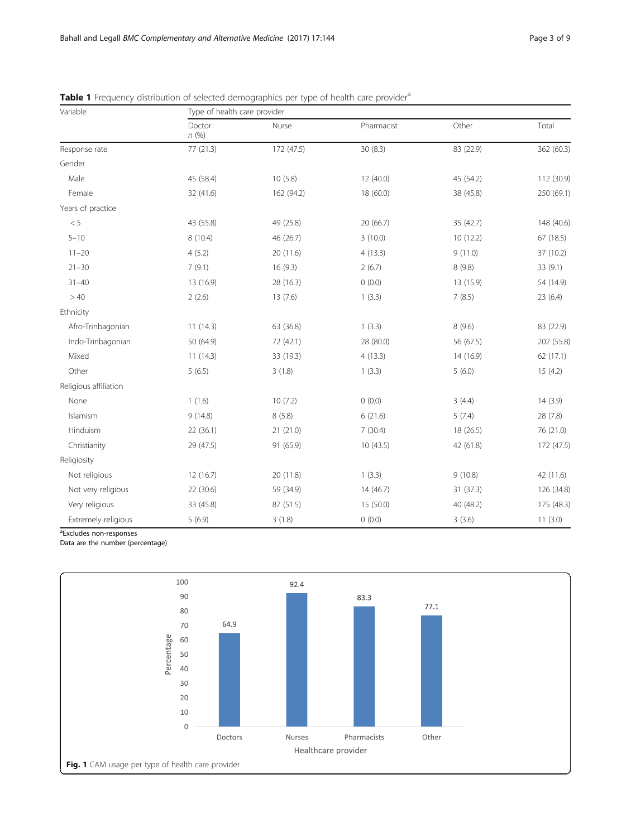| Variable              | Type of health care provider |            |            |           |            |  |  |  |  |
|-----------------------|------------------------------|------------|------------|-----------|------------|--|--|--|--|
|                       | Doctor<br>n(%)               | Nurse      | Pharmacist | Other     | Total      |  |  |  |  |
| Response rate         | 77(21.3)                     | 172 (47.5) | 30 (8.3)   | 83 (22.9) | 362 (60.3) |  |  |  |  |
| Gender                |                              |            |            |           |            |  |  |  |  |
| Male                  | 45 (58.4)                    | 10(5.8)    | 12 (40.0)  | 45 (54.2) | 112 (30.9) |  |  |  |  |
| Female                | 32 (41.6)                    | 162 (94.2) | 18 (60.0)  | 38 (45.8) | 250 (69.1) |  |  |  |  |
| Years of practice     |                              |            |            |           |            |  |  |  |  |
| < 5                   | 43 (55.8)                    | 49 (25.8)  | 20 (66.7)  | 35 (42.7) | 148 (40.6) |  |  |  |  |
| $5 - 10$              | 8 (10.4)                     | 46 (26.7)  | 3(10.0)    | 10(12.2)  | 67 (18.5)  |  |  |  |  |
| $11 - 20$             | 4(5.2)                       | 20 (11.6)  | 4(13.3)    | 9(11.0)   | 37 (10.2)  |  |  |  |  |
| $21 - 30$             | 7(9.1)                       | 16 (9.3)   | 2(6.7)     | 8(9.8)    | 33 (9.1)   |  |  |  |  |
| $31 - 40$             | 13 (16.9)                    | 28 (16.3)  | 0(0.0)     | 13 (15.9) | 54 (14.9)  |  |  |  |  |
| >40                   | 2(2.6)                       | 13(7.6)    | 1(3.3)     | 7(8.5)    | 23 (6.4)   |  |  |  |  |
| Ethnicity             |                              |            |            |           |            |  |  |  |  |
| Afro-Trinbagonian     | 11(14.3)                     | 63 (36.8)  | 1(3.3)     | 8(9.6)    | 83 (22.9)  |  |  |  |  |
| Indo-Trinbagonian     | 50 (64.9)                    | 72 (42.1)  | 28 (80.0)  | 56 (67.5) | 202 (55.8) |  |  |  |  |
| Mixed                 | 11(14.3)                     | 33 (19.3)  | 4(13.3)    | 14 (16.9) | 62 (17.1)  |  |  |  |  |
| Other                 | 5(6.5)                       | 3(1.8)     | 1(3.3)     | 5(6.0)    | 15(4.2)    |  |  |  |  |
| Religious affiliation |                              |            |            |           |            |  |  |  |  |
| None                  | 1(1.6)                       | 10(7.2)    | 0(0.0)     | 3(4.4)    | 14(3.9)    |  |  |  |  |
| Islamism              | 9(14.8)                      | 8(5.8)     | 6(21.6)    | 5(7.4)    | 28 (7.8)   |  |  |  |  |
| Hinduism              | 22(36.1)                     | 21(21.0)   | 7(30.4)    | 18 (26.5) | 76 (21.0)  |  |  |  |  |
| Christianity          | 29 (47.5)                    | 91 (65.9)  | 10(43.5)   | 42 (61.8) | 172 (47.5) |  |  |  |  |
| Religiosity           |                              |            |            |           |            |  |  |  |  |
| Not religious         | 12(16.7)                     | 20 (11.8)  | 1(3.3)     | 9(10.8)   | 42 (11.6)  |  |  |  |  |
| Not very religious    | 22 (30.6)                    | 59 (34.9)  | 14 (46.7)  | 31 (37.3) | 126 (34.8) |  |  |  |  |
| Very religious        | 33 (45.8)                    | 87 (51.5)  | 15 (50.0)  | 40 (48.2) | 175 (48.3) |  |  |  |  |
| Extremely religious   | 5(6.9)                       | 3(1.8)     | 0(0.0)     | 3(3.6)    | 11(3.0)    |  |  |  |  |

<span id="page-2-0"></span>Table 1 Frequency distribution of selected demographics per type of health care provider<sup>a</sup>

<sup>a</sup>Excludes non-responses

Data are the number (percentage)

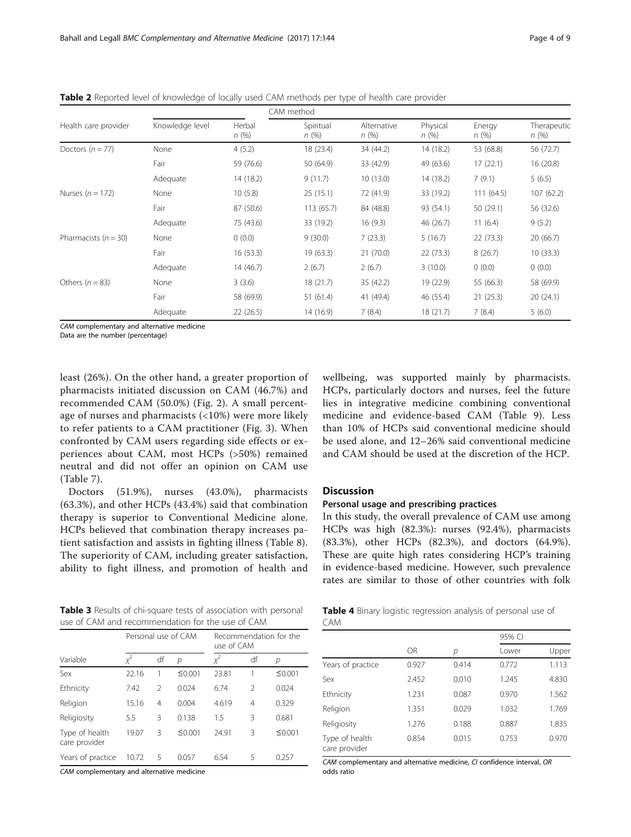| CAM method               |                 |                |                   |                     |                  |                |                     |
|--------------------------|-----------------|----------------|-------------------|---------------------|------------------|----------------|---------------------|
| Health care provider     | Knowledge level | Herbal<br>n(%) | Spiritual<br>n(%) | Alternative<br>n(%) | Physical<br>n(%) | Energy<br>n(%) | Therapeutic<br>n(%) |
| Doctors $(n = 77)$       | None            | 4(5.2)         | 18 (23.4)         | 34 (44.2)           | 14 (18.2)        | 53 (68.8)      | 56 (72.7)           |
|                          | Fair            | 59 (76.6)      | 50 (64.9)         | 33 (42.9)           | 49 (63.6)        | 17(22.1)       | 16(20.8)            |
|                          | Adequate        | 14 (18.2)      | 9(11.7)           | 10(13.0)            | 14 (18.2)        | 7(9.1)         | 5(6.5)              |
| Nurses $(n = 172)$       | None            | 10(5.8)        | 25(15.1)          | 72 (41.9)           | 33 (19.2)        | 111(64.5)      | 107(62.2)           |
|                          | Fair            | 87 (50.6)      | 113(65.7)         | 84 (48.8)           | 93 (54.1)        | 50(29.1)       | 56 (32.6)           |
|                          | Adequate        | 75 (43.6)      | 33 (19.2)         | 16(9.3)             | 46 (26.7)        | 11(6.4)        | 9(5.2)              |
| Pharmacists ( $n = 30$ ) | None            | 0(0.0)         | 9(30.0)           | 7(23.3)             | 5(16.7)          | 22(73.3)       | 20(66.7)            |
|                          | Fair            | 16(53.3)       | 19(63.3)          | 21(70.0)            | 22(73.3)         | 8(26.7)        | 10(33.3)            |
|                          | Adequate        | 14 (46.7)      | 2(6.7)            | 2(6.7)              | 3(10.0)          | 0(0.0)         | 0(0.0)              |
| Others $(n = 83)$        | None            | 3(3.6)         | 18(21.7)          | 35 (42.2)           | 19 (22.9)        | 55 (66.3)      | 58 (69.9)           |
|                          | Fair            | 58 (69.9)      | 51(61.4)          | 41 (49.4)           | 46 (55.4)        | 21(25.3)       | 20(24.1)            |
|                          | Adequate        | 22(26.5)       | 14 (16.9)         | 7(8.4)              | 18 (21.7)        | 7(8.4)         | 5(6.0)              |

<span id="page-3-0"></span>Table 2 Reported level of knowledge of locally used CAM methods per type of health care provider

CAM complementary and alternative medicine

Data are the number (percentage)

least (26%). On the other hand, a greater proportion of pharmacists initiated discussion on CAM (46.7%) and recommended CAM (50.0%) (Fig. [2\)](#page-5-0). A small percentage of nurses and pharmacists (<10%) were more likely to refer patients to a CAM practitioner (Fig. [3\)](#page-5-0). When confronted by CAM users regarding side effects or experiences about CAM, most HCPs (>50%) remained neutral and did not offer an opinion on CAM use (Table [7](#page-6-0)).

Doctors (51.9%), nurses (43.0%), pharmacists (63.3%), and other HCPs (43.4%) said that combination therapy is superior to Conventional Medicine alone. HCPs believed that combination therapy increases patient satisfaction and assists in fighting illness (Table [8](#page-6-0)). The superiority of CAM, including greater satisfaction, ability to fight illness, and promotion of health and

wellbeing, was supported mainly by pharmacists. HCPs, particularly doctors and nurses, feel the future lies in integrative medicine combining conventional medicine and evidence-based CAM (Table [9\)](#page-6-0). Less than 10% of HCPs said conventional medicine should be used alone, and 12–26% said conventional medicine and CAM should be used at the discretion of the HCP.

### **Discussion**

#### Personal usage and prescribing practices

In this study, the overall prevalence of CAM use among HCPs was high (82.3%): nurses (92.4%), pharmacists (83.3%), other HCPs (82.3%), and doctors (64.9%). These are quite high rates considering HCP's training in evidence-based medicine. However, such prevalence rates are similar to those of other countries with folk

| Table 3 Results of chi-square tests of association with personal |  |
|------------------------------------------------------------------|--|
| use of CAM and recommendation for the use of CAM                 |  |

|                                 | Personal use of CAM |                |        | Recommendation for the<br>use of CAM |               |        |
|---------------------------------|---------------------|----------------|--------|--------------------------------------|---------------|--------|
| Variable                        |                     | df             | р      |                                      | df            | р      |
| Sex                             | 22.16               |                | ≤0.001 | 23.81                                |               | ≤0.001 |
| Ethnicity                       | 7.42                | $\mathfrak{D}$ | 0.024  | 6.74                                 | $\mathcal{P}$ | 0.024  |
| Religion                        | 15.16               | $\overline{4}$ | 0.004  | 4.619                                | 4             | 0.329  |
| Religiosity                     | 5.5                 | 3              | 0.138  | 1.5                                  | 3             | 0.681  |
| Type of health<br>care provider | 19.07               | 3              | ≤0.001 | 24.91                                | 3             | ≤0.001 |
| Years of practice               | 10.72               | 5              | 0.057  | 6.54                                 | 5             | 0.257  |

CAM complementary and alternative medicine

Table 4 Binary logistic regression analysis of personal use of CAM

|                                 |           |       | 95% CI |       |
|---------------------------------|-----------|-------|--------|-------|
|                                 | <b>OR</b> | р     | Lower  | Upper |
| Years of practice               | 0.927     | 0.414 | 0.772  | 1.113 |
| Sex                             | 2.452     | 0.010 | 1.245  | 4.830 |
| Ethnicity                       | 1.231     | 0.087 | 0.970  | 1.562 |
| Religion                        | 1.351     | 0.029 | 1.032  | 1.769 |
| Religiosity                     | 1.276     | 0.188 | 0.887  | 1.835 |
| Type of health<br>care provider | 0.854     | 0.015 | 0.753  | 0.970 |

CAM complementary and alternative medicine, CI confidence interval, OR odds ratio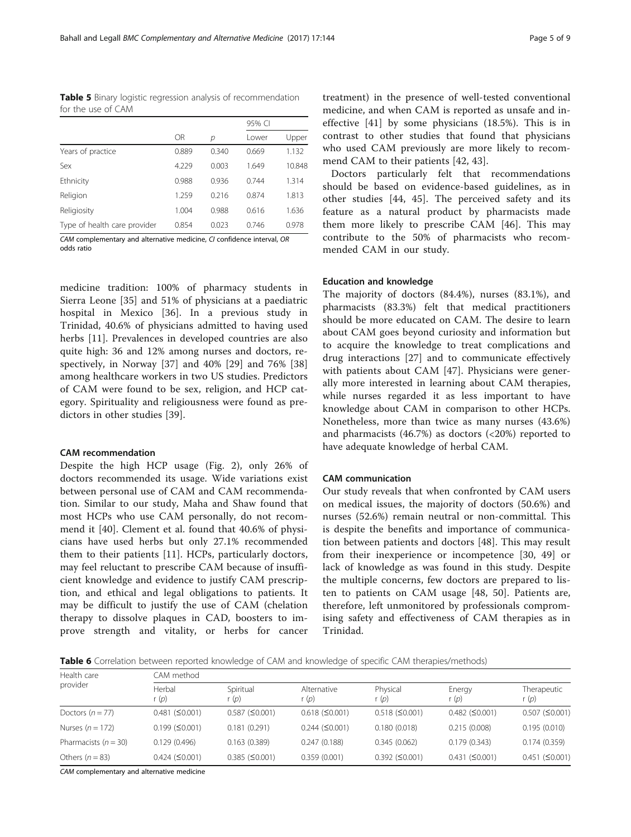<span id="page-4-0"></span>Table 5 Binary logistic regression analysis of recommendation for the use of CAM

|                              |       |       | 95% CI |        |  |
|------------------------------|-------|-------|--------|--------|--|
|                              | OR    | р     | Lower  | Upper  |  |
| Years of practice            | 0.889 | 0.340 | 0.669  | 1.132  |  |
| Sex                          | 4.229 | 0.003 | 1.649  | 10.848 |  |
| Ethnicity                    | 0.988 | 0.936 | 0.744  | 1.314  |  |
| Religion                     | 1.259 | 0.216 | 0.874  | 1.813  |  |
| Religiosity                  | 1.004 | 0.988 | 0.616  | 1.636  |  |
| Type of health care provider | 0.854 | 0.023 | 0.746  | 0.978  |  |

CAM complementary and alternative medicine, CI confidence interval, OR odds ratio

medicine tradition: 100% of pharmacy students in Sierra Leone [[35\]](#page-8-0) and 51% of physicians at a paediatric hospital in Mexico [[36\]](#page-8-0). In a previous study in Trinidad, 40.6% of physicians admitted to having used herbs [\[11](#page-7-0)]. Prevalences in developed countries are also quite high: 36 and 12% among nurses and doctors, respectively, in Norway [\[37](#page-8-0)] and 40% [\[29](#page-7-0)] and 76% [\[38](#page-8-0)] among healthcare workers in two US studies. Predictors of CAM were found to be sex, religion, and HCP category. Spirituality and religiousness were found as predictors in other studies [\[39](#page-8-0)].

#### CAM recommendation

Despite the high HCP usage (Fig. [2](#page-5-0)), only 26% of doctors recommended its usage. Wide variations exist between personal use of CAM and CAM recommendation. Similar to our study, Maha and Shaw found that most HCPs who use CAM personally, do not recommend it [\[40](#page-8-0)]. Clement et al. found that 40.6% of physicians have used herbs but only 27.1% recommended them to their patients [[11\]](#page-7-0). HCPs, particularly doctors, may feel reluctant to prescribe CAM because of insufficient knowledge and evidence to justify CAM prescription, and ethical and legal obligations to patients. It may be difficult to justify the use of CAM (chelation therapy to dissolve plaques in CAD, boosters to improve strength and vitality, or herbs for cancer

treatment) in the presence of well-tested conventional medicine, and when CAM is reported as unsafe and ineffective [[41\]](#page-8-0) by some physicians (18.5%). This is in contrast to other studies that found that physicians who used CAM previously are more likely to recommend CAM to their patients [[42, 43\]](#page-8-0).

Doctors particularly felt that recommendations should be based on evidence-based guidelines, as in other studies [[44, 45\]](#page-8-0). The perceived safety and its feature as a natural product by pharmacists made them more likely to prescribe CAM [\[46](#page-8-0)]. This may contribute to the 50% of pharmacists who recommended CAM in our study.

#### Education and knowledge

The majority of doctors (84.4%), nurses (83.1%), and pharmacists (83.3%) felt that medical practitioners should be more educated on CAM. The desire to learn about CAM goes beyond curiosity and information but to acquire the knowledge to treat complications and drug interactions [\[27](#page-7-0)] and to communicate effectively with patients about CAM [[47](#page-8-0)]. Physicians were generally more interested in learning about CAM therapies, while nurses regarded it as less important to have knowledge about CAM in comparison to other HCPs. Nonetheless, more than twice as many nurses (43.6%) and pharmacists  $(46.7%)$  as doctors  $( $20\%$ )$  reported to have adequate knowledge of herbal CAM.

#### CAM communication

Our study reveals that when confronted by CAM users on medical issues, the majority of doctors (50.6%) and nurses (52.6%) remain neutral or non-committal. This is despite the benefits and importance of communication between patients and doctors [\[48](#page-8-0)]. This may result from their inexperience or incompetence [[30,](#page-7-0) [49](#page-8-0)] or lack of knowledge as was found in this study. Despite the multiple concerns, few doctors are prepared to listen to patients on CAM usage [\[48](#page-8-0), [50](#page-8-0)]. Patients are, therefore, left unmonitored by professionals compromising safety and effectiveness of CAM therapies as in Trinidad.

Table 6 Correlation between reported knowledge of CAM and knowledge of specific CAM therapies/methods)

| Health care<br>provider | CAM method               |                          |                               |                          |                          |                          |  |  |  |  |
|-------------------------|--------------------------|--------------------------|-------------------------------|--------------------------|--------------------------|--------------------------|--|--|--|--|
|                         | Herbal<br>r (p)          | Spiritual<br>· (p)       | Alternative<br>r ( <i>p</i> ) | Physical<br>r $(p)$      | Energy<br>r $(p)$        | Therapeutic<br>r $(p)$   |  |  |  |  |
| Doctors $(n = 77)$      | $0.481$ ( $\leq 0.001$ ) | $0.587$ ( $\leq 0.001$ ) | $0.618$ ( $\leq 0.001$ )      | $0.518$ ( $\leq 0.001$ ) | $0.482$ ( $\leq 0.001$ ) | $0.507$ ( $\leq 0.001$ ) |  |  |  |  |
| Nurses $(n = 172)$      | $0.199$ ( $\leq 0.001$ ) | 0.181(0.291)             | $0.244$ ( $\leq 0.001$ )      | 0.180(0.018)             | 0.215(0.008)             | 0.195(0.010)             |  |  |  |  |
| Pharmacists $(n = 30)$  | 0.129(0.496)             | 0.163(0.389)             | 0.247(0.188)                  | 0.345(0.062)             | 0.179(0.343)             | 0.174(0.359)             |  |  |  |  |
| Others $(n = 83)$       | $0.424$ ( $\leq 0.001$ ) | $0.385$ ( $\leq 0.001$ ) | 0.359(0.001)                  | $0.392$ ( $\leq 0.001$ ) | $0.431$ ( $\leq 0.001$ ) | $0.451$ ( $\leq 0.001$ ) |  |  |  |  |

CAM complementary and alternative medicine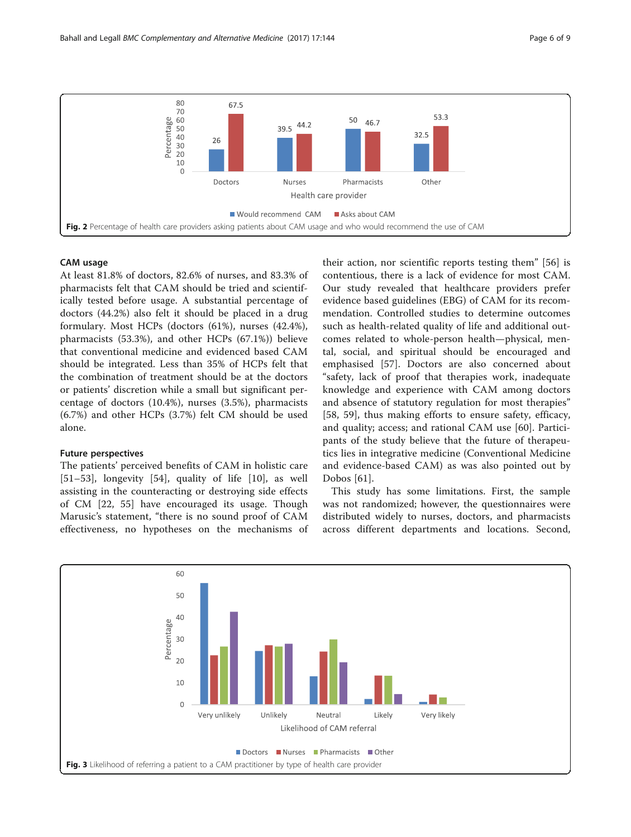<span id="page-5-0"></span>

#### CAM usage

At least 81.8% of doctors, 82.6% of nurses, and 83.3% of pharmacists felt that CAM should be tried and scientifically tested before usage. A substantial percentage of doctors (44.2%) also felt it should be placed in a drug formulary. Most HCPs (doctors (61%), nurses (42.4%), pharmacists (53.3%), and other HCPs (67.1%)) believe that conventional medicine and evidenced based CAM should be integrated. Less than 35% of HCPs felt that the combination of treatment should be at the doctors or patients' discretion while a small but significant percentage of doctors (10.4%), nurses (3.5%), pharmacists (6.7%) and other HCPs (3.7%) felt CM should be used alone.

#### Future perspectives

The patients' perceived benefits of CAM in holistic care [[51](#page-8-0)–[53\]](#page-8-0), longevity [[54\]](#page-8-0), quality of life [[10\]](#page-7-0), as well assisting in the counteracting or destroying side effects of CM [[22,](#page-7-0) [55\]](#page-8-0) have encouraged its usage. Though Marusic's statement, "there is no sound proof of CAM effectiveness, no hypotheses on the mechanisms of

their action, nor scientific reports testing them" [\[56](#page-8-0)] is contentious, there is a lack of evidence for most CAM. Our study revealed that healthcare providers prefer evidence based guidelines (EBG) of CAM for its recommendation. Controlled studies to determine outcomes such as health-related quality of life and additional outcomes related to whole-person health—physical, mental, social, and spiritual should be encouraged and emphasised [[57\]](#page-8-0). Doctors are also concerned about "safety, lack of proof that therapies work, inadequate knowledge and experience with CAM among doctors and absence of statutory regulation for most therapies" [[58, 59](#page-8-0)], thus making efforts to ensure safety, efficacy, and quality; access; and rational CAM use [\[60](#page-8-0)]. Participants of the study believe that the future of therapeutics lies in integrative medicine (Conventional Medicine and evidence-based CAM) as was also pointed out by Dobos [[61\]](#page-8-0).

This study has some limitations. First, the sample was not randomized; however, the questionnaires were distributed widely to nurses, doctors, and pharmacists across different departments and locations. Second,

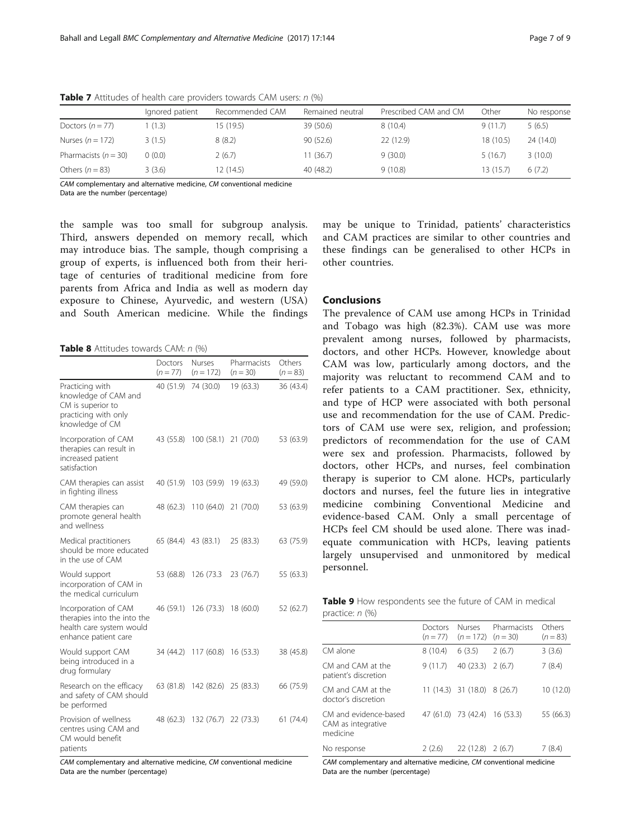|                        | Ignored patient | Recommended CAM | Remained neutral | Prescribed CAM and CM | Other     | No response |
|------------------------|-----------------|-----------------|------------------|-----------------------|-----------|-------------|
| Doctors $(n = 77)$     | 1(1.3)          | 15 (19.5)       | 39 (50.6)        | 8(10.4)               | 9(11.7)   | 5(6.5)      |
| Nurses $(n = 172)$     | 3(1.5)          | 8(8.2)          | 90 (52.6)        | 22 (12.9)             | 18(10.5)  | 24(14.0)    |
| Pharmacists $(n = 30)$ | (0.0)           | 2(6.7)          | 11(36.7)         | 9(30.0)               | 5(16.7)   | 3(10.0)     |
| Others $(n = 83)$      | 3(3.6)          | 12 (14.5)       | 40 (48.2)        | 9(10.8)               | 13 (15.7) | 6(7.2)      |

<span id="page-6-0"></span>**Table 7** Attitudes of health care providers towards CAM users:  $n$  (%)

CAM complementary and alternative medicine, CM conventional medicine

Data are the number (percentage)

the sample was too small for subgroup analysis. Third, answers depended on memory recall, which may introduce bias. The sample, though comprising a group of experts, is influenced both from their heritage of centuries of traditional medicine from fore parents from Africa and India as well as modern day exposure to Chinese, Ayurvedic, and western (USA) and South American medicine. While the findings

Table 8 Attitudes towards CAM: n (%)

|                                                                                                         | Doctors<br>$(n = 77)$ | Nurses<br>$(n = 172)$          | Pharmacists<br>$(n = 30)$ | Others<br>$(n = 83)$ |
|---------------------------------------------------------------------------------------------------------|-----------------------|--------------------------------|---------------------------|----------------------|
| Practicing with<br>knowledge of CAM and<br>CM is superior to<br>practicing with only<br>knowledge of CM | 40 (51.9)             | 74 (30.0)                      | 19 (63.3)                 | 36 (43.4)            |
| Incorporation of CAM<br>therapies can result in<br>increased patient<br>satisfaction                    |                       | 43 (55.8) 100 (58.1) 21 (70.0) |                           | 53 (63.9)            |
| CAM therapies can assist<br>in fighting illness                                                         |                       | 40 (51.9) 103 (59.9) 19 (63.3) |                           | 49 (59.0)            |
| CAM therapies can<br>promote general health<br>and wellness                                             | 48 (62.3)             | 110 (64.0) 21 (70.0)           |                           | 53 (63.9)            |
| Medical practitioners<br>should be more educated<br>in the use of CAM                                   |                       | 65 (84.4) 43 (83.1)            | 25 (83.3)                 | 63 (75.9)            |
| Would support<br>incorporation of CAM in<br>the medical curriculum                                      | 53 (68.8)             | 126 (73.3                      | 23(76.7)                  | 55 (63.3)            |
| Incorporation of CAM<br>therapies into the into the<br>health care system would<br>enhance patient care |                       | 46 (59.1) 126 (73.3) 18 (60.0) |                           | 52 (62.7)            |
| Would support CAM<br>being introduced in a<br>drug formulary                                            |                       | 34 (44.2) 117 (60.8) 16 (53.3) |                           | 38 (45.8)            |
| Research on the efficacy<br>and safety of CAM should<br>be performed                                    |                       | 63 (81.8) 142 (82.6) 25 (83.3) |                           | 66 (75.9)            |
| Provision of wellness<br>centres using CAM and<br>CM would benefit<br>patients                          | 48 (62.3)             | 132 (76.7) 22 (73.3)           |                           | 61(74.4)             |

CAM complementary and alternative medicine, CM conventional medicine Data are the number (percentage)

may be unique to Trinidad, patients' characteristics and CAM practices are similar to other countries and these findings can be generalised to other HCPs in other countries.

# Conclusions

The prevalence of CAM use among HCPs in Trinidad and Tobago was high (82.3%). CAM use was more prevalent among nurses, followed by pharmacists, doctors, and other HCPs. However, knowledge about CAM was low, particularly among doctors, and the majority was reluctant to recommend CAM and to refer patients to a CAM practitioner. Sex, ethnicity, and type of HCP were associated with both personal use and recommendation for the use of CAM. Predictors of CAM use were sex, religion, and profession; predictors of recommendation for the use of CAM were sex and profession. Pharmacists, followed by doctors, other HCPs, and nurses, feel combination therapy is superior to CM alone. HCPs, particularly doctors and nurses, feel the future lies in integrative medicine combining Conventional Medicine and evidence-based CAM. Only a small percentage of HCPs feel CM should be used alone. There was inadequate communication with HCPs, leaving patients largely unsupervised and unmonitored by medical personnel.

| <b>Table 9</b> How respondents see the future of CAM in medical |  |  |  |  |
|-----------------------------------------------------------------|--|--|--|--|
| practice: $n$ (%)                                               |  |  |  |  |

| $P^1$                                                   |                       |                                         |             |                      |
|---------------------------------------------------------|-----------------------|-----------------------------------------|-------------|----------------------|
|                                                         | Doctors<br>$(n = 77)$ | <b>Nurses</b><br>$(n = 172)$ $(n = 30)$ | Pharmacists | Others<br>$(n = 83)$ |
| CM alone                                                | 8(10.4)               | 6(3.5)                                  | 2(6.7)      | 3(3.6)               |
| CM and CAM at the<br>patient's discretion               | 9(11.7)               | $40(23.3)$ $2(6.7)$                     |             | 7(8.4)               |
| CM and CAM at the<br>doctor's discretion                |                       | $11(14.3)$ 31 (18.0) 8 (26.7)           |             | 10 (12.0)            |
| CM and evidence-based<br>CAM as integrative<br>medicine |                       | 47 (61.0) 73 (42.4) 16 (53.3)           |             | 55 (66.3)            |
| No response                                             | 2(2.6)                | $22(12.8)$ 2 (6.7)                      |             | 7(8.4)               |
|                                                         |                       |                                         |             |                      |

CAM complementary and alternative medicine, CM conventional medicine Data are the number (percentage)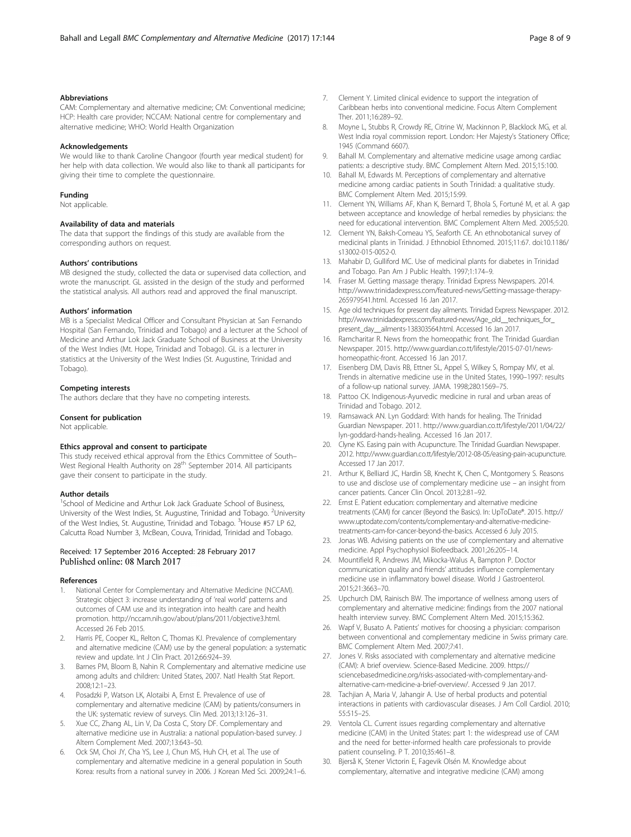#### <span id="page-7-0"></span>Abbreviations

CAM: Complementary and alternative medicine; CM: Conventional medicine; HCP: Health care provider; NCCAM: National centre for complementary and alternative medicine; WHO: World Health Organization

#### Acknowledgements

We would like to thank Caroline Changoor (fourth year medical student) for her help with data collection. We would also like to thank all participants for giving their time to complete the questionnaire.

#### Funding

Not applicable.

#### Availability of data and materials

The data that support the findings of this study are available from the corresponding authors on request.

#### Authors' contributions

MB designed the study, collected the data or supervised data collection, and wrote the manuscript. GL assisted in the design of the study and performed the statistical analysis. All authors read and approved the final manuscript.

#### Authors' information

MB is a Specialist Medical Officer and Consultant Physician at San Fernando Hospital (San Fernando, Trinidad and Tobago) and a lecturer at the School of Medicine and Arthur Lok Jack Graduate School of Business at the University of the West Indies (Mt. Hope, Trinidad and Tobago). GL is a lecturer in statistics at the University of the West Indies (St. Augustine, Trinidad and Tobago).

#### Competing interests

The authors declare that they have no competing interests.

#### Consent for publication

Not applicable.

#### Ethics approval and consent to participate

This study received ethical approval from the Ethics Committee of South– West Regional Health Authority on 28<sup>th</sup> September 2014. All participants gave their consent to participate in the study.

#### Author details

<sup>1</sup>School of Medicine and Arthur Lok Jack Graduate School of Business, University of the West Indies, St. Augustine, Trinidad and Tobago. <sup>2</sup>University of the West Indies, St. Augustine, Trinidad and Tobago. <sup>3</sup>House #57 LP 62, Calcutta Road Number 3, McBean, Couva, Trinidad, Trinidad and Tobago.

#### Received: 17 September 2016 Accepted: 28 February 2017 Published online: 08 March 2017

#### References

- 1. National Center for Complementary and Alternative Medicine (NCCAM). Strategic object 3: increase understanding of 'real world' patterns and outcomes of CAM use and its integration into health care and health promotion. [http://nccam.nih.gov/about/plans/2011/objective3.html.](http://nccam.nih.gov/about/plans/2011/objective3.html) Accessed 26 Feb 2015.
- 2. Harris PE, Cooper KL, Relton C, Thomas KJ. Prevalence of complementary and alternative medicine (CAM) use by the general population: a systematic review and update. Int J Clin Pract. 2012;66:924–39.
- Barnes PM, Bloom B, Nahin R. Complementary and alternative medicine use among adults and children: United States, 2007. Natl Health Stat Report. 2008;12:1–23.
- 4. Posadzki P, Watson LK, Alotaibi A, Ernst E. Prevalence of use of complementary and alternative medicine (CAM) by patients/consumers in the UK: systematic review of surveys. Clin Med. 2013;13:126–31.
- Xue CC, Zhang AL, Lin V, Da Costa C, Story DF. Complementary and alternative medicine use in Australia: a national population-based survey. J Altern Complement Med. 2007;13:643–50.
- Ock SM, Choi JY, Cha YS, Lee J, Chun MS, Huh CH, et al. The use of complementary and alternative medicine in a general population in South Korea: results from a national survey in 2006. J Korean Med Sci. 2009;24:1–6.
- 7. Clement Y. Limited clinical evidence to support the integration of Caribbean herbs into conventional medicine. Focus Altern Complement Ther. 2011;16:289–92.
- Moyne L, Stubbs R, Crowdy RE, Citrine W, Mackinnon P, Blacklock MG, et al. West India royal commission report. London: Her Majesty's Stationery Office; 1945 (Command 6607).
- 9. Bahall M. Complementary and alternative medicine usage among cardiac patients: a descriptive study. BMC Complement Altern Med. 2015;15:100.
- 10. Bahall M, Edwards M. Perceptions of complementary and alternative medicine among cardiac patients in South Trinidad: a qualitative study. BMC Complement Altern Med. 2015;15:99.
- 11. Clement YN, Williams AF, Khan K, Bernard T, Bhola S, Fortuné M, et al. A gap between acceptance and knowledge of herbal remedies by physicians: the need for educational intervention. BMC Complement Altern Med. 2005;5:20.
- 12. Clement YN, Baksh-Comeau YS, Seaforth CE. An ethnobotanical survey of medicinal plants in Trinidad. J Ethnobiol Ethnomed. 2015;11:67. doi:[10.1186/](http://dx.doi.org/10.1186/s13002-015-0052-0) [s13002-015-0052-0.](http://dx.doi.org/10.1186/s13002-015-0052-0)
- 13. Mahabir D, Gulliford MC. Use of medicinal plants for diabetes in Trinidad and Tobago. Pan Am J Public Health. 1997;1:174–9.
- 14. Fraser M. Getting massage therapy. Trinidad Express Newspapers. 2014. [http://www.trinidadexpress.com/featured-news/Getting-massage-therapy-](http://www.trinidadexpress.com/featured-news/Getting-massage-therapy-265979541.html)[265979541.html.](http://www.trinidadexpress.com/featured-news/Getting-massage-therapy-265979541.html) Accessed 16 Jan 2017.
- 15. Age old techniques for present day ailments. Trinidad Express Newspaper. 2012. [http://www.trinidadexpress.com/featured-news/Age\\_old\\_\\_techniques\\_for\\_](http://www.trinidadexpress.com/featured-news/Age_old__techniques_for_present_day__ailments-138303564.html) [present\\_day\\_\\_ailments-138303564.html.](http://www.trinidadexpress.com/featured-news/Age_old__techniques_for_present_day__ailments-138303564.html) Accessed 16 Jan 2017.
- 16. Ramcharitar R. News from the homeopathic front. The Trinidad Guardian Newspaper. 2015. [http://www.guardian.co.tt/lifestyle/2015-07-01/news](http://www.guardian.co.tt/lifestyle/2015-07-01/news-homeopathic-front)[homeopathic-front.](http://www.guardian.co.tt/lifestyle/2015-07-01/news-homeopathic-front) Accessed 16 Jan 2017.
- 17. Eisenberg DM, Davis RB, Ettner SL, Appel S, Wilkey S, Rompay MV, et al. Trends in alternative medicine use in the United States, 1990–1997: results of a follow-up national survey. JAMA. 1998;280:1569–75.
- 18. Pattoo CK. Indigenous-Ayurvedic medicine in rural and urban areas of Trinidad and Tobago. 2012.
- 19. Ramsawack AN. Lyn Goddard: With hands for healing. The Trinidad Guardian Newspaper. 2011. [http://www.guardian.co.tt/lifestyle/2011/04/22/](http://www.guardian.co.tt/lifestyle/2011/04/22/lyn-goddard-hands-healing) [lyn-goddard-hands-healing.](http://www.guardian.co.tt/lifestyle/2011/04/22/lyn-goddard-hands-healing) Accessed 16 Jan 2017.
- 20. Clyne KS. Easing pain with Acupuncture. The Trinidad Guardian Newspaper. 2012.<http://www.guardian.co.tt/lifestyle/2012-08-05/easing-pain-acupuncture>. Accessed 17 Jan 2017.
- 21. Arthur K, Belliard JC, Hardin SB, Knecht K, Chen C, Montgomery S. Reasons to use and disclose use of complementary medicine use – an insight from cancer patients. Cancer Clin Oncol. 2013;2:81–92.
- 22. Ernst E. Patient education: complementary and alternative medicine treatments (CAM) for cancer (Beyond the Basics). In: UpToDate®. 2015. [http://](http://www.uptodate.com/contents/complementary-and-alternative-medicine-treatments-cam-for-cancer-beyond-the-basics) [www.uptodate.com/contents/complementary-and-alternative-medicine](http://www.uptodate.com/contents/complementary-and-alternative-medicine-treatments-cam-for-cancer-beyond-the-basics)[treatments-cam-for-cancer-beyond-the-basics.](http://www.uptodate.com/contents/complementary-and-alternative-medicine-treatments-cam-for-cancer-beyond-the-basics) Accessed 6 July 2015.
- 23. Jonas WB. Advising patients on the use of complementary and alternative medicine. Appl Psychophysiol Biofeedback. 2001;26:205–14.
- 24. Mountifield R, Andrews JM, Mikocka-Walus A, Bampton P. Doctor communication quality and friends' attitudes influence complementary medicine use in inflammatory bowel disease. World J Gastroenterol. 2015;21:3663–70.
- 25. Upchurch DM, Rainisch BW. The importance of wellness among users of complementary and alternative medicine: findings from the 2007 national health interview survey. BMC Complement Altern Med. 2015;15:362.
- 26. Wapf V, Busato A. Patients' motives for choosing a physician: comparison between conventional and complementary medicine in Swiss primary care. BMC Complement Altern Med. 2007;7:41.
- 27. Jones V. Risks associated with complementary and alternative medicine (CAM): A brief overview. Science-Based Medicine. 2009[. https://](https://sciencebasedmedicine.org/risks-associated-with-complementary-and-alternative-cam-medicine-a-brief-overview/) [sciencebasedmedicine.org/risks-associated-with-complementary-and](https://sciencebasedmedicine.org/risks-associated-with-complementary-and-alternative-cam-medicine-a-brief-overview/)[alternative-cam-medicine-a-brief-overview/.](https://sciencebasedmedicine.org/risks-associated-with-complementary-and-alternative-cam-medicine-a-brief-overview/) Accessed 9 Jan 2017.
- 28. Tachjian A, Maria V, Jahangir A. Use of herbal products and potential interactions in patients with cardiovascular diseases. J Am Coll Cardiol. 2010; 55:515–25.
- 29. Ventola CL. Current issues regarding complementary and alternative medicine (CAM) in the United States: part 1: the widespread use of CAM and the need for better-informed health care professionals to provide patient counseling. P T. 2010;35:461–8.
- 30. Bjerså K, Stener Victorin E, Fagevik Olsén M. Knowledge about complementary, alternative and integrative medicine (CAM) among